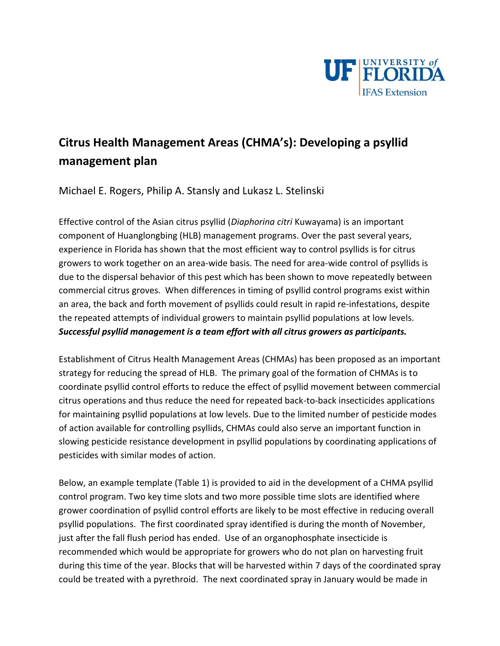

## **Citrus Health Management Areas (CHMA's): Developing a psyllid management plan**

Michael E. Rogers, Philip A. Stansly and Lukasz L. Stelinski

Effective control of the Asian citrus psyllid (*Diaphorina citri* Kuwayama) is an important component of Huanglongbing (HLB) management programs. Over the past several years, experience in Florida has shown that the most efficient way to control psyllids is for citrus growers to work together on an area-wide basis. The need for area-wide control of psyllids is due to the dispersal behavior of this pest which has been shown to move repeatedly between commercial citrus groves. When differences in timing of psyllid control programs exist within an area, the back and forth movement of psyllids could result in rapid re-infestations, despite the repeated attempts of individual growers to maintain psyllid populations at low levels. *Successful psyllid management is a team effort with all citrus growers as participants.*

Establishment of Citrus Health Management Areas (CHMAs) has been proposed as an important strategy for reducing the spread of HLB. The primary goal of the formation of CHMAs is to coordinate psyllid control efforts to reduce the effect of psyllid movement between commercial citrus operations and thus reduce the need for repeated back-to-back insecticides applications for maintaining psyllid populations at low levels. Due to the limited number of pesticide modes of action available for controlling psyllids, CHMAs could also serve an important function in slowing pesticide resistance development in psyllid populations by coordinating applications of pesticides with similar modes of action.

Below, an example template (Table 1) is provided to aid in the development of a CHMA psyllid control program. Two key time slots and two more possible time slots are identified where grower coordination of psyllid control efforts are likely to be most effective in reducing overall psyllid populations. The first coordinated spray identified is during the month of November, just after the fall flush period has ended. Use of an organophosphate insecticide is recommended which would be appropriate for growers who do not plan on harvesting fruit during this time of the year. Blocks that will be harvested within 7 days of the coordinated spray could be treated with a pyrethroid. The next coordinated spray in January would be made in